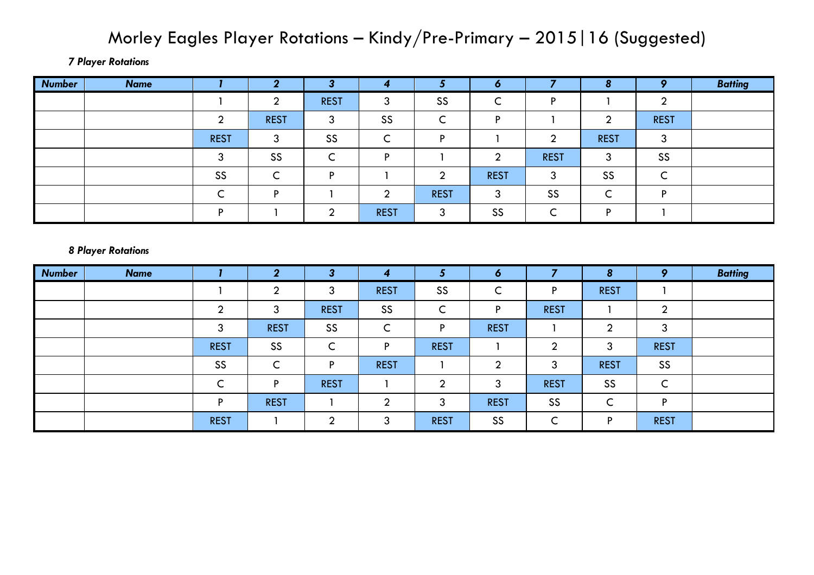## Morley Eagles Player Rotations – Kindy/Pre-Primary – 2015|16 (Suggested)

*7 Player Rotations*

| <b>Number</b> | <b>Name</b> |             | ◠           | ≘           | 4           |             | 70          |             | 8           | $\bullet$   | <b>Batting</b> |
|---------------|-------------|-------------|-------------|-------------|-------------|-------------|-------------|-------------|-------------|-------------|----------------|
|               |             |             | ◠           | <b>REST</b> | 3           | SS          |             | D           |             | ◠           |                |
|               |             |             | <b>REST</b> | ົ<br>w      | SS          |             |             |             | ⌒           | <b>REST</b> |                |
|               |             | <b>REST</b> | ົ<br>w      | SS          | ∽<br>╰      | D           |             | ⌒           | <b>REST</b> | 3           |                |
|               |             |             | SS          | ∽           | D           |             |             | <b>REST</b> | ົ<br>د      | SS          |                |
|               |             | SS          |             | D           |             |             | <b>REST</b> | ົ<br>J      | SS          |             |                |
|               |             |             | D           |             | ◠           | <b>REST</b> | ⌒           | SS          | ∽           | D           |                |
|               |             |             |             | ◠           | <b>REST</b> | $\sqrt{2}$  | SS          |             | D           |             |                |

## *8 Player Rotations*

| <b>Number</b> | <b>Name</b> |             | $\mathbf{2}$    | 3                             | 4               | ю                             | 6           |             | 8           | 9               | <b>Batting</b> |
|---------------|-------------|-------------|-----------------|-------------------------------|-----------------|-------------------------------|-------------|-------------|-------------|-----------------|----------------|
|               |             |             | റ<br>▴          | 3                             | <b>REST</b>     | SS                            | ∽<br>╰      | Þ           | <b>REST</b> |                 |                |
|               |             | ∩           | 3               | <b>REST</b>                   | SS              | $\overline{\phantom{0}}$<br>◡ | D           | <b>REST</b> |             | ◠<br>◢          |                |
|               |             | 3           | <b>REST</b>     | SS                            | $\sqrt{2}$<br>◡ | D                             | <b>REST</b> |             | ◠           | 3               |                |
|               |             | <b>REST</b> | SS              | $\overline{\phantom{0}}$<br>◡ | P               | <b>REST</b>                   |             | ↑           | 3           | <b>REST</b>     |                |
|               |             | SS          | $\sqrt{ }$<br>◡ | Þ                             | <b>REST</b>     |                               | ◠           | 3           | <b>REST</b> | SS              |                |
|               |             | ∽           | D               | <b>REST</b>                   |                 | ↑                             | 3           | <b>REST</b> | SS          | $\sqrt{2}$<br>◡ |                |
|               |             | D           | <b>REST</b>     |                               | $\sim$          | 3                             | <b>REST</b> | SS          | ∽<br>╰      | Þ               |                |
|               |             | <b>REST</b> |                 | ◠                             | 3               | <b>REST</b>                   | SS          | $\sqrt{ }$  | D           | <b>REST</b>     |                |